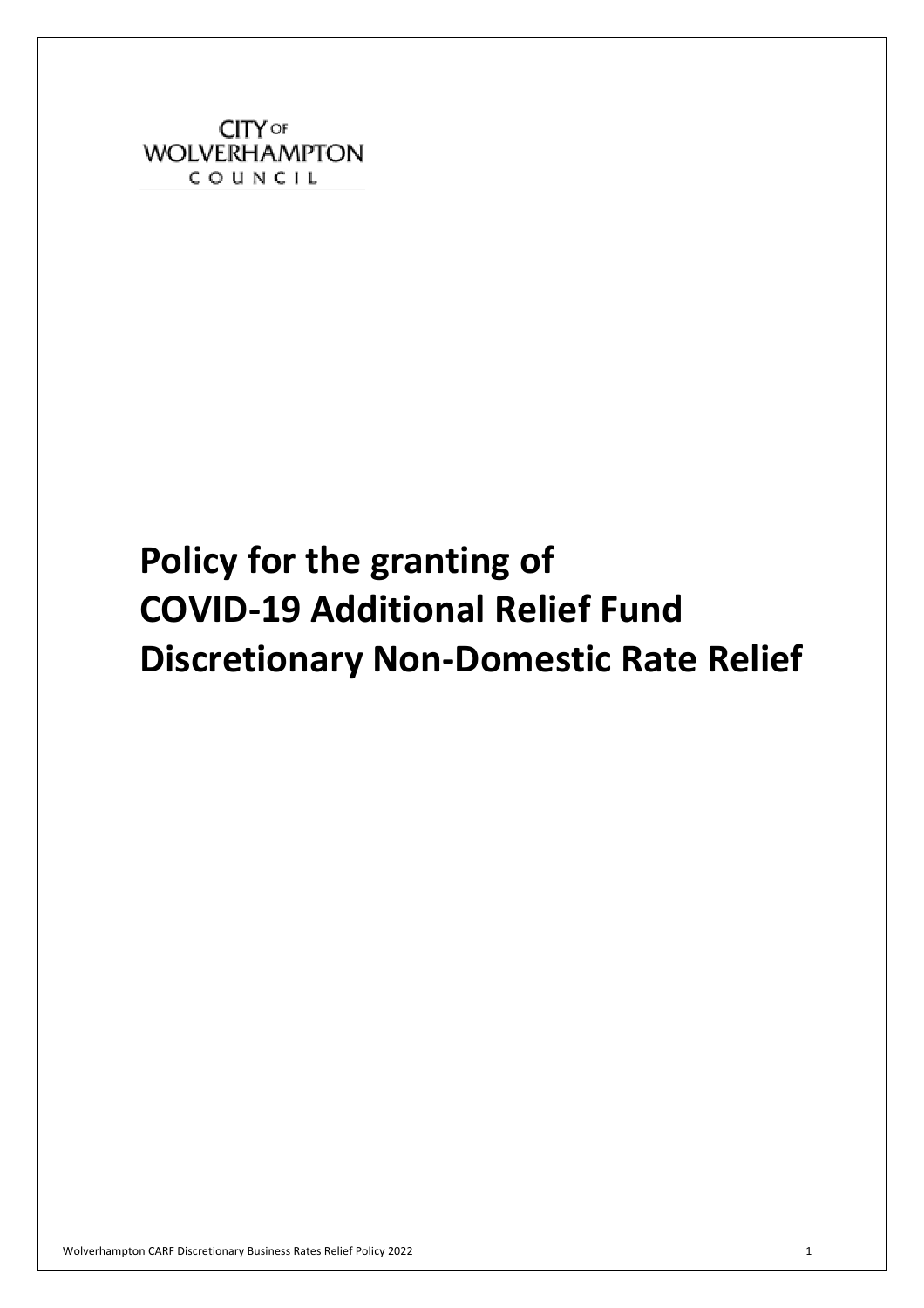**CITY OF WOLVERHAMPTON** COUNCIL

# **Discretionary Non-Domestic Rate Relief Policy for the granting of COVID-19 Additional Relief Fund**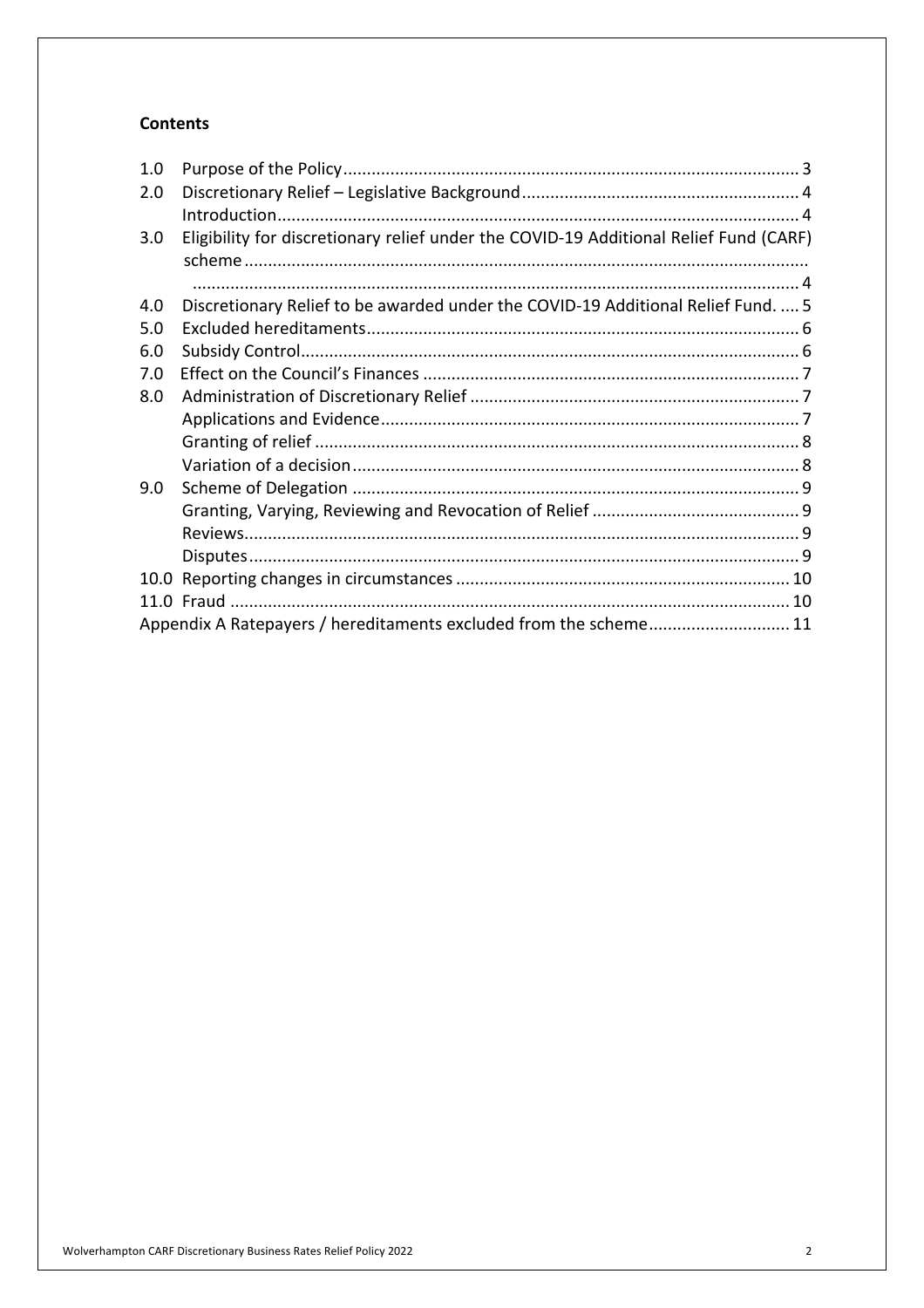#### **Contents**

| 1.0 |                                                                                       |  |
|-----|---------------------------------------------------------------------------------------|--|
| 2.0 |                                                                                       |  |
|     |                                                                                       |  |
| 3.0 | Eligibility for discretionary relief under the COVID-19 Additional Relief Fund (CARF) |  |
|     |                                                                                       |  |
| 4.0 | Discretionary Relief to be awarded under the COVID-19 Additional Relief Fund.  5      |  |
| 5.0 |                                                                                       |  |
| 6.0 |                                                                                       |  |
| 7.0 |                                                                                       |  |
| 8.0 |                                                                                       |  |
|     |                                                                                       |  |
|     |                                                                                       |  |
|     |                                                                                       |  |
| 9.0 |                                                                                       |  |
|     |                                                                                       |  |
|     |                                                                                       |  |
|     |                                                                                       |  |
|     |                                                                                       |  |
|     |                                                                                       |  |
|     | Appendix A Ratepayers / hereditaments excluded from the scheme 11                     |  |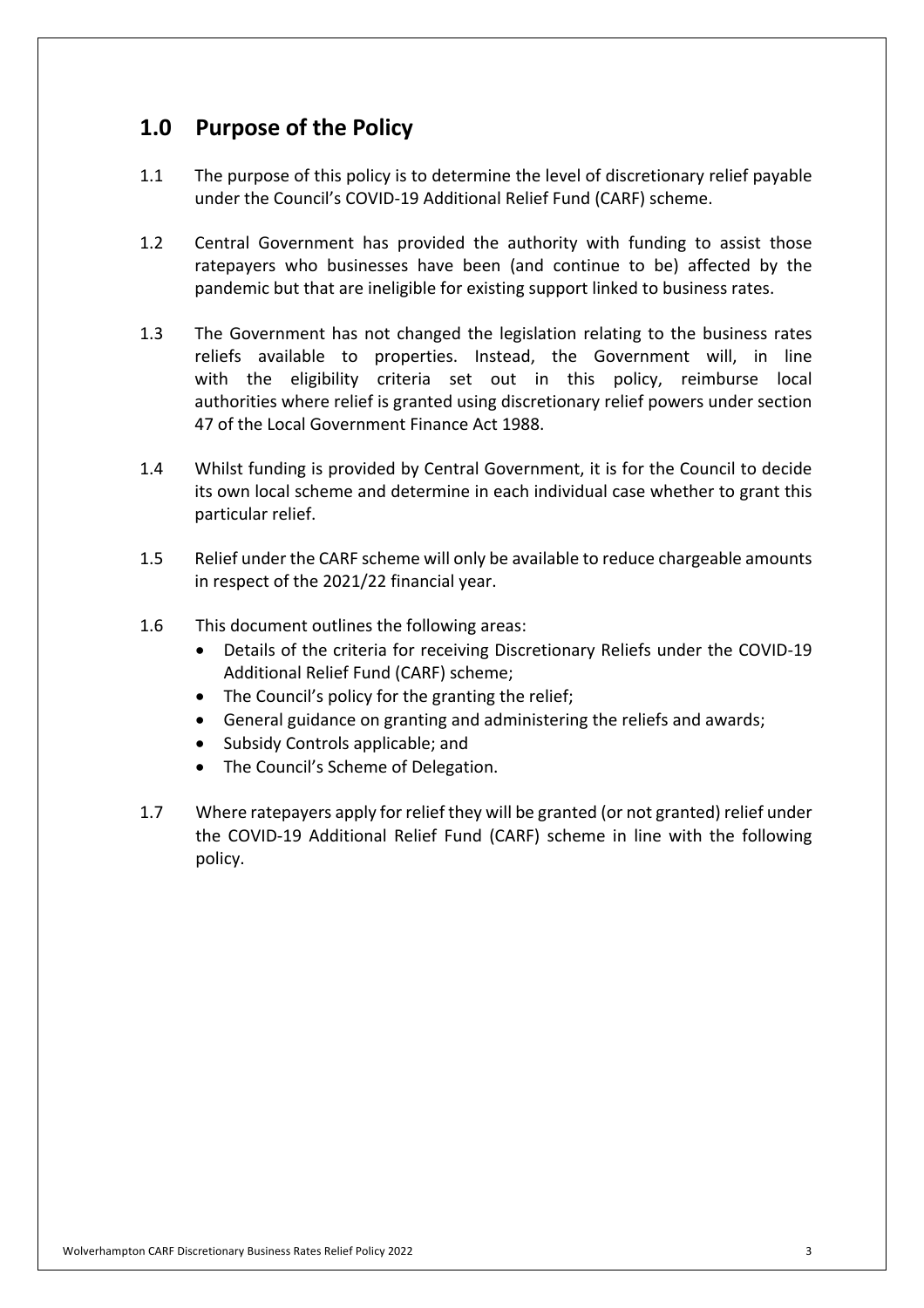## **1.0 Purpose of the Policy**

- $1.1$  under the Council's COVID-19 Additional Relief Fund (CARF) scheme. The purpose of this policy is to determine the level of discretionary relief payable
- $1.2$  ratepayers who businesses have been (and continue to be) affected by the pandemic but that are ineligible for existing support linked to business rates. Central Government has provided the authority with funding to assist those
- $1.3$  reliefs available to properties. Instead, the Government will, in line with the eligibility criteria set out in this policy, reimburse local authorities where relief is granted using discretionary relief powers under section 47 of the Local Government Finance Act 1988. The Government has not changed the legislation relating to the business rates
- 1.4 Whilst funding is provided by Central Government, it is for the Council to decide its own local scheme and determine in each individual case whether to grant this particular relief.
- $1.5$  in respect of the 2021/22 financial year. Relief under the CARF scheme will only be available to reduce chargeable amounts
- $1.6$ This document outlines the following areas:
	- • Details of the criteria for receiving Discretionary Reliefs under the COVID-19 Additional Relief Fund (CARF) scheme;
	- The Council's policy for the granting the relief;
	- General guidance on granting and administering the reliefs and awards;
	- Subsidy Controls applicable; and
	- The Council's Scheme of Delegation.
- 1.7 Where ratepayers apply for relief they will be granted (or not granted) relief under the COVID-19 Additional Relief Fund (CARF) scheme in line with the following policy.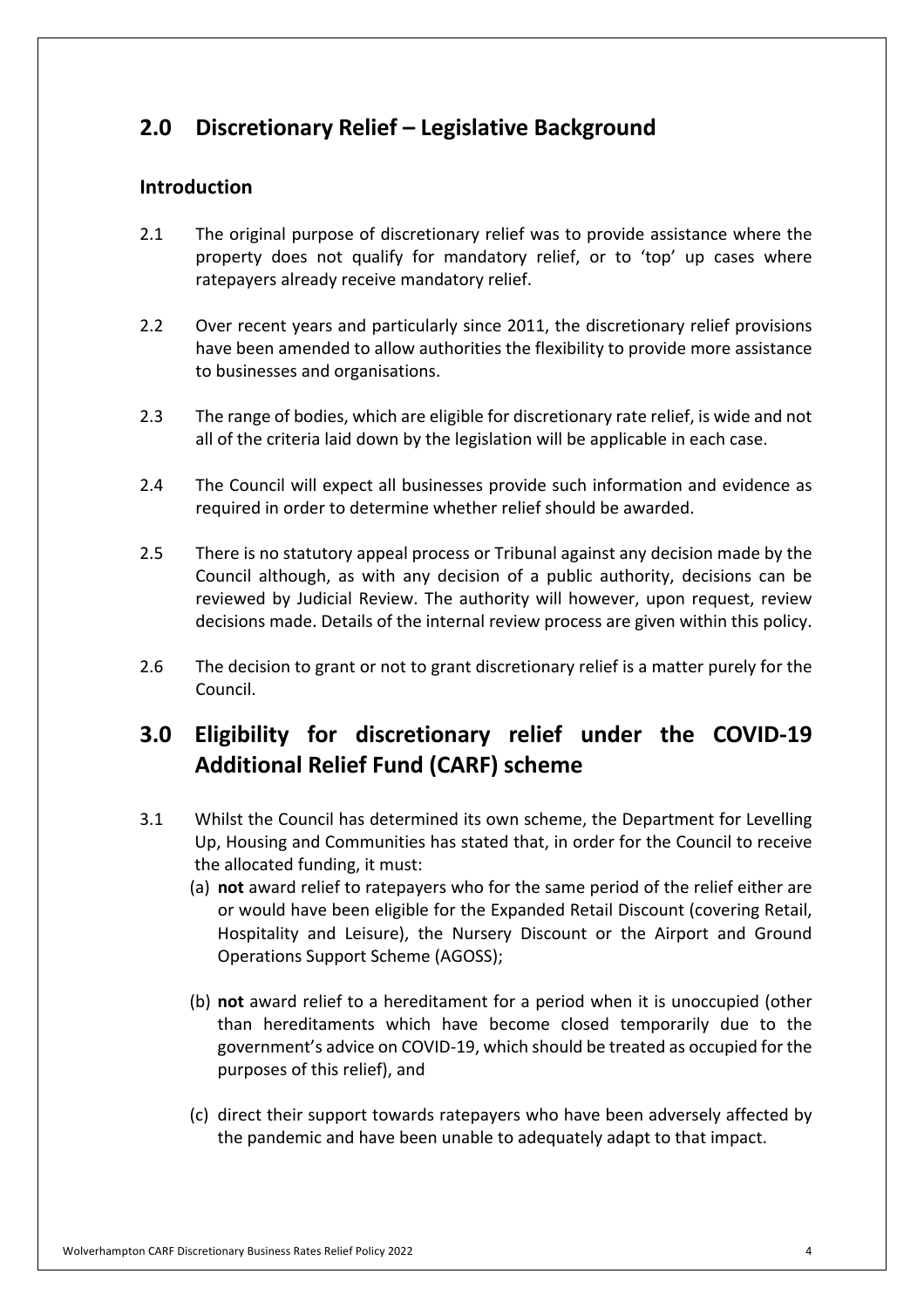## **2.0 Discretionary Relief – Legislative Background**

#### **Introduction**

- $2.1$  property does not qualify for mandatory relief, or to 'top' up cases where ratepayers already receive mandatory relief. 2.1 The original purpose of discretionary relief was to provide assistance where the
- $2.2$  have been amended to allow authorities the flexibility to provide more assistance to businesses and organisations. Over recent years and particularly since 2011, the discretionary relief provisions
- $2.3$  all of the criteria laid down by the legislation will be applicable in each case. The range of bodies, which are eligible for discretionary rate relief, is wide and not
- $2.4$  required in order to determine whether relief should be awarded. The Council will expect all businesses provide such information and evidence as
- $2.5$  Council although, as with any decision of a public authority, decisions can be reviewed by Judicial Review. The authority will however, upon request, review decisions made. Details of the internal review process are given within this policy. 2.5 There is no statutory appeal process or Tribunal against any decision made by the
- $2.6$  Council. The decision to grant or not to grant discretionary relief is a matter purely for the

## **3.0 Eligibility for discretionary relief under the COVID-19 Additional Relief Fund (CARF) scheme**

- 3.1 Whilst the Council has determined its own scheme, the Department for Levelling Up, Housing and Communities has stated that, in order for the Council to receive the allocated funding, it must:
	- (a) **not** award relief to ratepayers who for the same period of the relief either are or would have been eligible for the Expanded Retail Discount (covering Retail, Hospitality and Leisure), the Nursery Discount or the Airport and Ground Operations Support Scheme (AGOSS);
	- (b) **not** award relief to a hereditament for a period when it is unoccupied (other than hereditaments which have become closed temporarily due to the government's advice on COVID-19, which should be treated as occupied for the purposes of this relief), and
	- (c) direct their support towards ratepayers who have been adversely affected by the pandemic and have been unable to adequately adapt to that impact.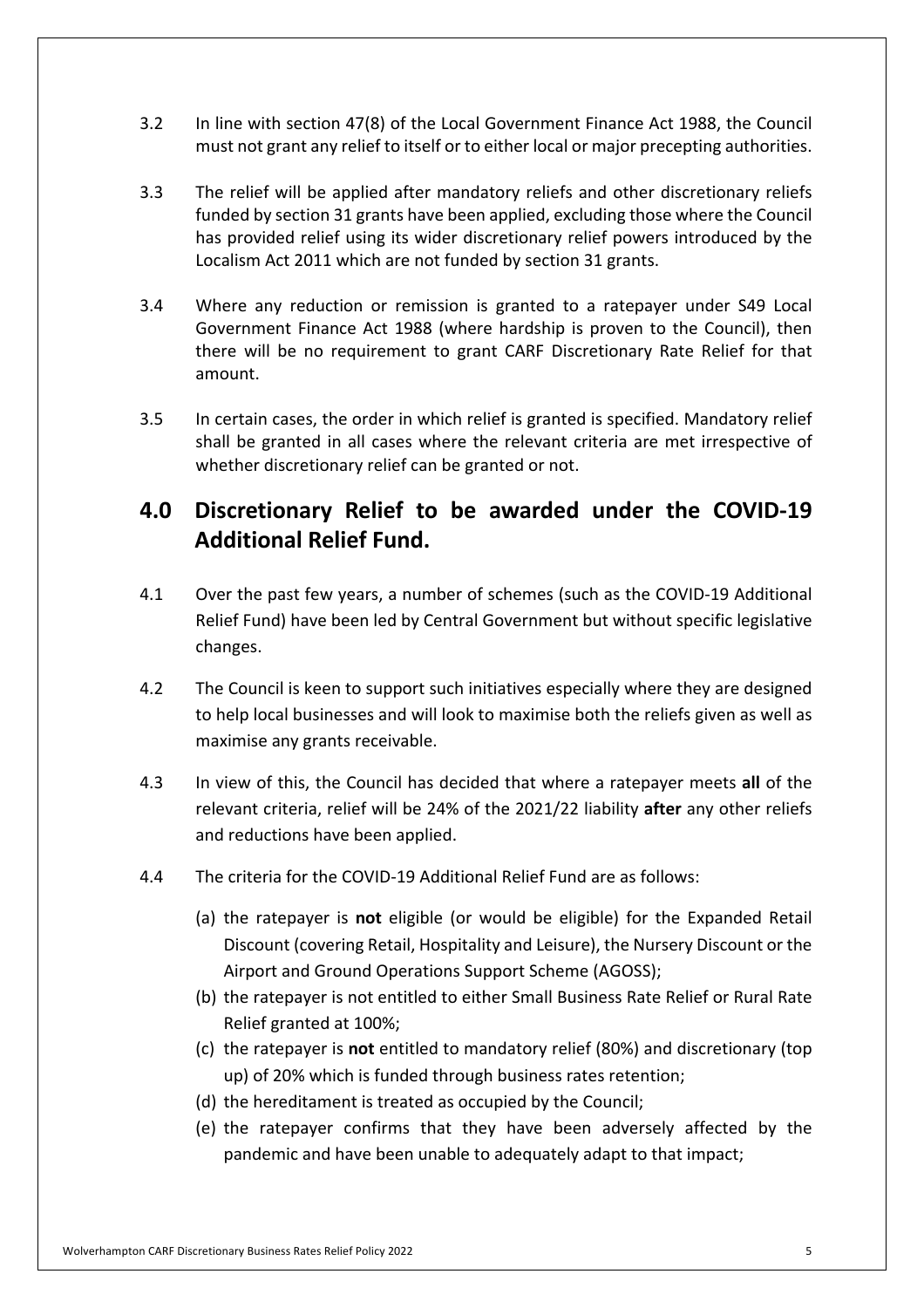- $3.2$  must not grant any relief to itself or to either local or major precepting authorities. In line with section 47(8) of the Local Government Finance Act 1988, the Council
- $3.3$  funded by section 31 grants have been applied, excluding those where the Council Localism Act 2011 which are not funded by section 31 grants. The relief will be applied after mandatory reliefs and other discretionary reliefs has provided relief using its wider discretionary relief powers introduced by the
- $3.4$  Government Finance Act 1988 (where hardship is proven to the Council), then there will be no requirement to grant CARF Discretionary Rate Relief for that amount. 3.4 Where any reduction or remission is granted to a ratepayer under S49 Local
- $3.5$  shall be granted in all cases where the relevant criteria are met irrespective of whether discretionary relief can be granted or not. In certain cases, the order in which relief is granted is specified. Mandatory relief

## **4.0 Discretionary Relief to be awarded under the COVID-19 Additional Relief Fund.**

- $4.1$  Relief Fund) have been led by Central Government but without specific legislative changes. Over the past few years, a number of schemes (such as the COVID-19 Additional
- $4.2$  to help local businesses and will look to maximise both the reliefs given as well as maximise any grants receivable. The Council is keen to support such initiatives especially where they are designed
- $4.3$  relevant criteria, relief will be 24% of the 2021/22 liability **after** any other reliefs and reductions have been applied. 4.3 In view of this, the Council has decided that where a ratepayer meets **all** of the
- $4.4$ The criteria for the COVID-19 Additional Relief Fund are as follows:
	- (a) the ratepayer is **not** eligible (or would be eligible) for the Expanded Retail Discount (covering Retail, Hospitality and Leisure), the Nursery Discount or the Airport and Ground Operations Support Scheme (AGOSS);
	- (b) the ratepayer is not entitled to either Small Business Rate Relief or Rural Rate Relief granted at 100%;
	- (c) the ratepayer is **not** entitled to mandatory relief (80%) and discretionary (top up) of 20% which is funded through business rates retention;
	- (d) the hereditament is treated as occupied by the Council;
	- (e) the ratepayer confirms that they have been adversely affected by the pandemic and have been unable to adequately adapt to that impact;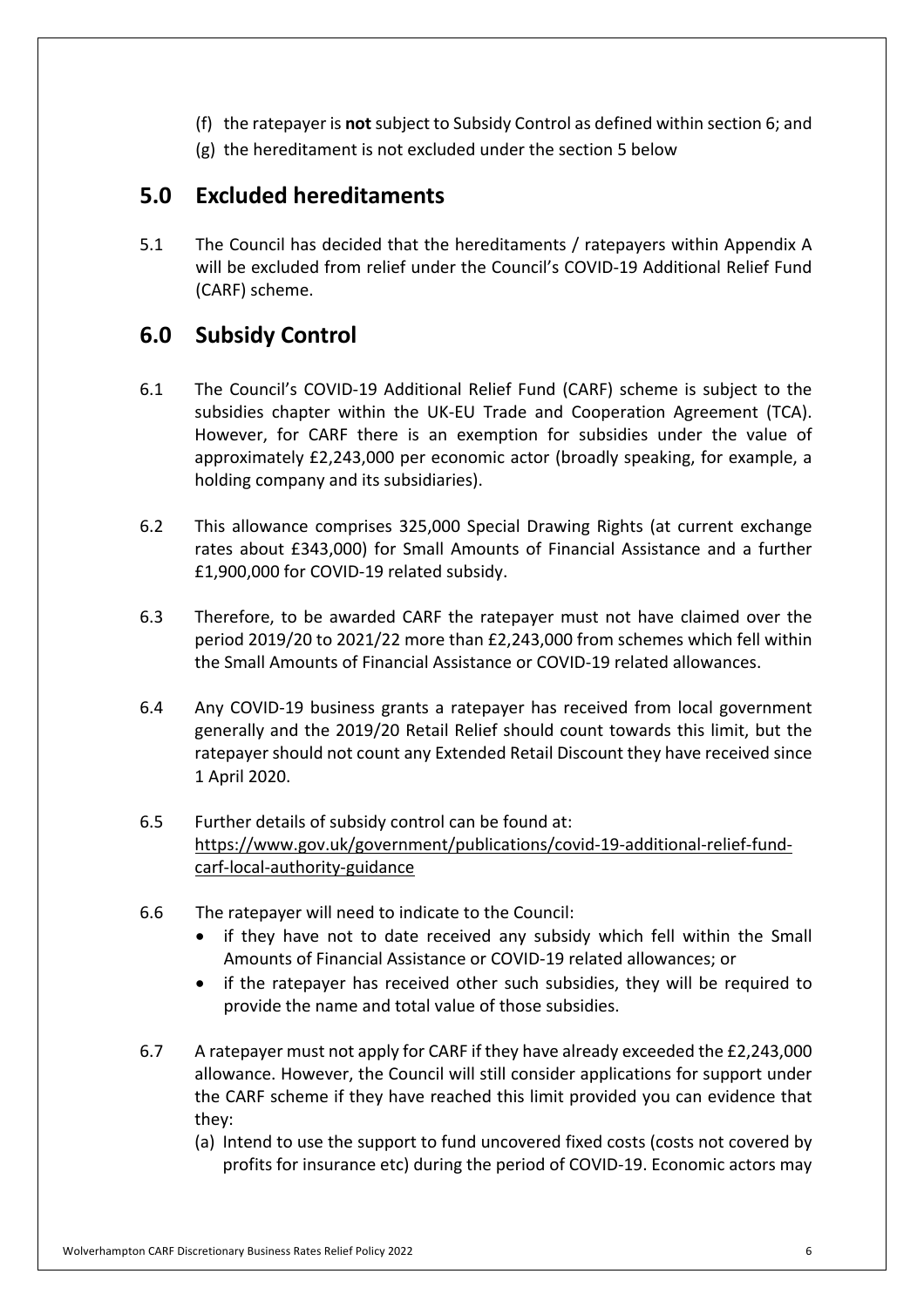- (f) the ratepayer is **not** subject to Subsidy Control as defined within section 6; and
- (g) the hereditament is not excluded under the section 5 below

## **5.0 Excluded hereditaments**

 $5.1$  will be excluded from relief under the Council's COVID-19 Additional Relief Fund (CARF) scheme. The Council has decided that the hereditaments / ratepayers within Appendix A

## **6.0 Subsidy Control**

- 6.1 The Council's COVID-19 Additional Relief Fund (CARF) scheme is subject to the subsidies chapter within the UK-EU Trade and Cooperation Agreement (TCA). However, for CARF there is an exemption for subsidies under the value of approximately £2,243,000 per economic actor (broadly speaking, for example, a holding company and its subsidiaries).
- $6.2$  rates about £343,000) for Small Amounts of Financial Assistance and a further £1,900,000 for COVID-19 related subsidy. This allowance comprises 325,000 Special Drawing Rights (at current exchange
- 6.3 Therefore, to be awarded CARF the ratepayer must not have claimed over the period 2019/20 to 2021/22 more than £2,243,000 from schemes which fell within the Small Amounts of Financial Assistance or COVID-19 related allowances.
- 6.4 Any COVID-19 business grants a ratepayer has received from local government generally and the 2019/20 Retail Relief should count towards this limit, but the ratepayer should not count any Extended Retail Discount they have received since 1 April 2020.
- $6.5$ carf-local-authority-guidance Further details of subsidy control can be found at: [https://www.gov.uk/government/publications/covid-19-additional-relief-fund-](https://www.gov.uk/government/publications/covid-19-additional-relief-fund)
- 6.6 The ratepayer will need to indicate to the Council:
	- • if they have not to date received any subsidy which fell within the Small Amounts of Financial Assistance or COVID-19 related allowances; or
	- • if the ratepayer has received other such subsidies, they will be required to provide the name and total value of those subsidies.
- 6.7 allowance. However, the Council will still consider applications for support under the CARF scheme if they have reached this limit provided you can evidence that 6.7 A ratepayer must not apply for CARF if they have already exceeded the £2,243,000 they:
	- (a) Intend to use the support to fund uncovered fixed costs (costs not covered by profits for insurance etc) during the period of COVID-19. Economic actors may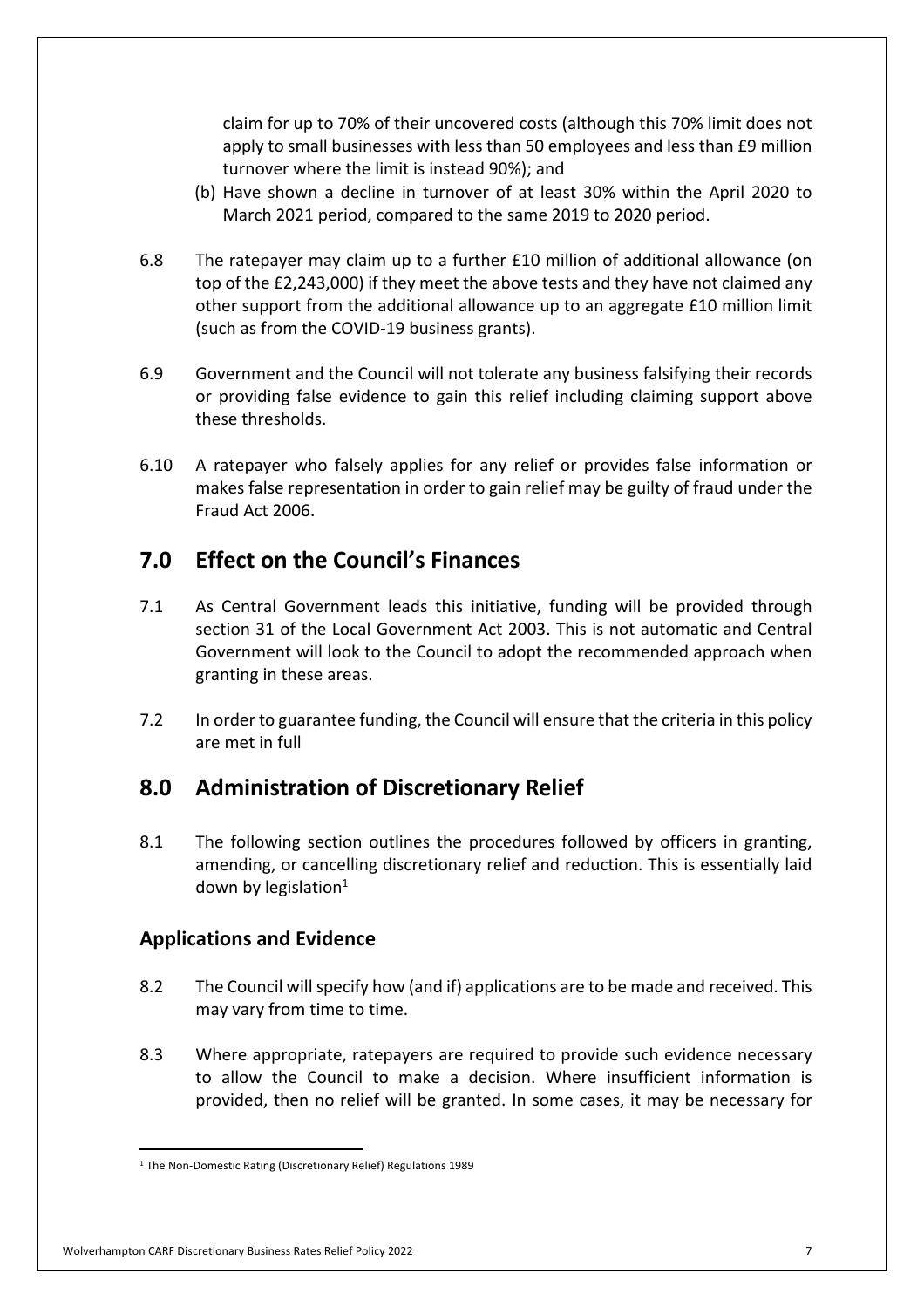claim for up to 70% of their uncovered costs (although this 70% limit does not apply to small businesses with less than 50 employees and less than £9 million turnover where the limit is instead 90%); and

- (b) Have shown a decline in turnover of at least 30% within the April 2020 to March 2021 period, compared to the same 2019 to 2020 period.
- 6.8 top of the £2,243,000) if they meet the above tests and they have not claimed any other support from the additional allowance up to an aggregate £10 million limit (such as from the COVID-19 business grants). The ratepayer may claim up to a further £10 million of additional allowance (on
- 6.9 Government and the Council will not tolerate any business falsifying their records or providing false evidence to gain this relief including claiming support above these thresholds.
- $6.10$  makes false representation in order to gain relief may be guilty of fraud under the Fraud Act 2006. 6.10 A ratepayer who falsely applies for any relief or provides false information or

## **7.0 Effect on the Council's Finances**

- 7.1 As Central Government leads this initiative, funding will be provided through section 31 of the Local Government Act 2003. This is not automatic and Central Government will look to the Council to adopt the recommended approach when granting in these areas.
- $7.2$  are met in full In order to guarantee funding, the Council will ensure that the criteria in this policy

## **8.0 Administration of Discretionary Relief**

8.1 amending, or cancelling discretionary relief and reduction. This is essentially laid down by legislation $1$ The following section outlines the procedures followed by officers in granting,

#### **Applications and Evidence**

- 8.2 The Council will specify how (and if) applications are to be made and received. This may vary from time to time.
- 8.3 to allow the Council to make a decision. Where insufficient information is provided, then no relief will be granted. In some cases, it may be necessary for Where appropriate, ratepayers are required to provide such evidence necessary

#### Wolverhampton CARF Discretionary Business Rates Relief Policy 2022 7

<sup>&</sup>lt;sup>1</sup> The Non-Domestic Rating (Discretionary Relief) Regulations 1989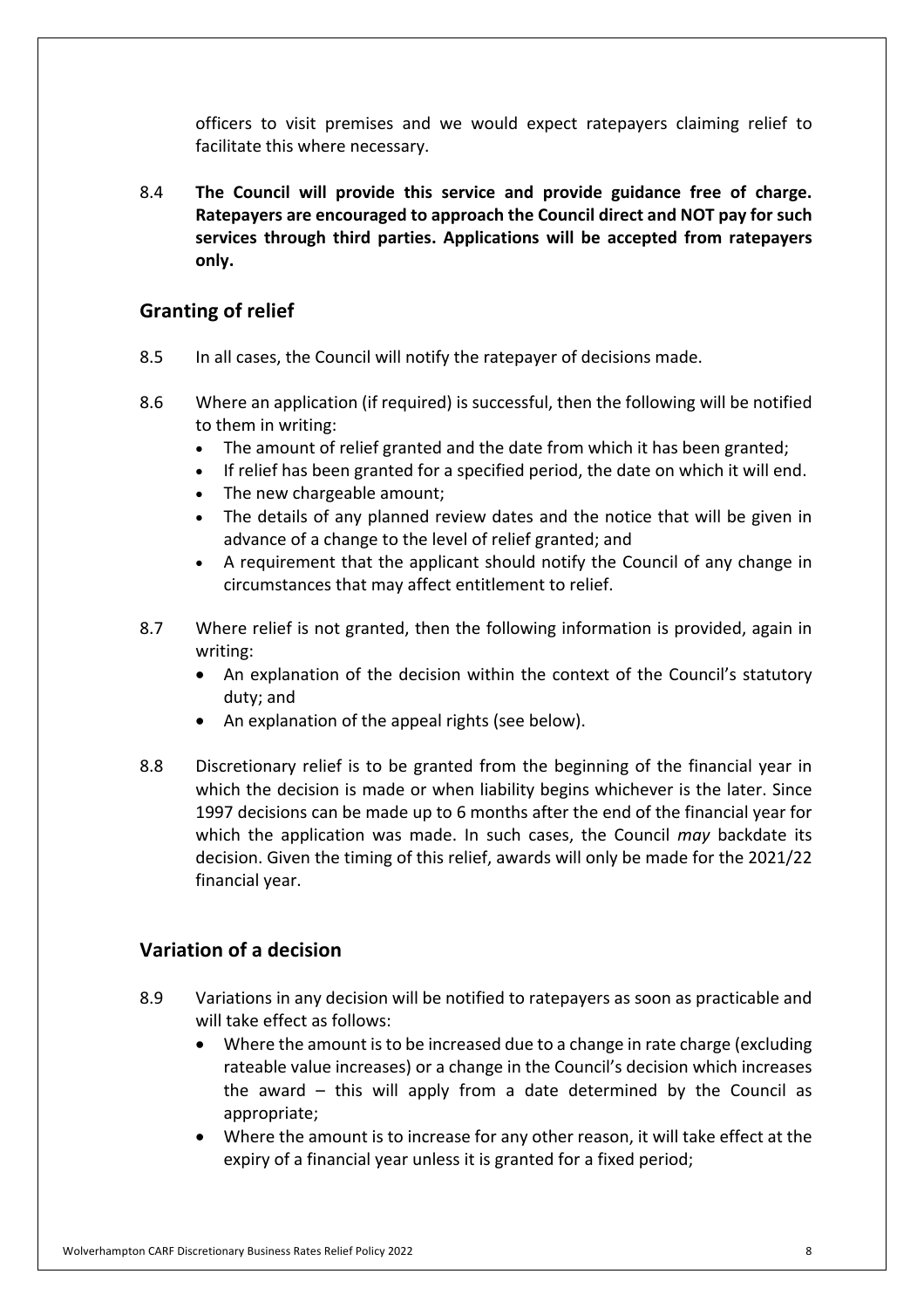officers to visit premises and we would expect ratepayers claiming relief to facilitate this where necessary.

 8.4 **The Council will provide this service and provide guidance free of charge. Ratepayers are encouraged to approach the Council direct and NOT pay for such services through third parties. Applications will be accepted from ratepayers only.** 

### **Granting of relief**

- 8.5 In all cases, the Council will notify the ratepayer of decisions made.
- 8.6 to them in writing: Where an application (if required) is successful, then the following will be notified
	- The amount of relief granted and the date from which it has been granted;
	- If relief has been granted for a specified period, the date on which it will end.
	- The new chargeable amount;
	- • The details of any planned review dates and the notice that will be given in advance of a change to the level of relief granted; and
	- • A requirement that the applicant should notify the Council of any change in circumstances that may affect entitlement to relief.
- 8.7 Where relief is not granted, then the following information is provided, again in writing:
	- • An explanation of the decision within the context of the Council's statutory duty; and
	- An explanation of the appeal rights (see below).
- 8.8 Discretionary relief is to be granted from the beginning of the financial year in which the decision is made or when liability begins whichever is the later. Since 1997 decisions can be made up to 6 months after the end of the financial year for which the application was made. In such cases, the Council *may* backdate its decision. Given the timing of this relief, awards will only be made for the 2021/22 financial year.

#### **Variation of a decision**

- 8.9 Variations in any decision will be notified to ratepayers as soon as practicable and will take effect as follows:
	- • Where the amount is to be increased due to a change in rate charge (excluding rateable value increases) or a change in the Council's decision which increases the award – this will apply from a date determined by the Council as appropriate;
	- • Where the amount is to increase for any other reason, it will take effect at the expiry of a financial year unless it is granted for a fixed period;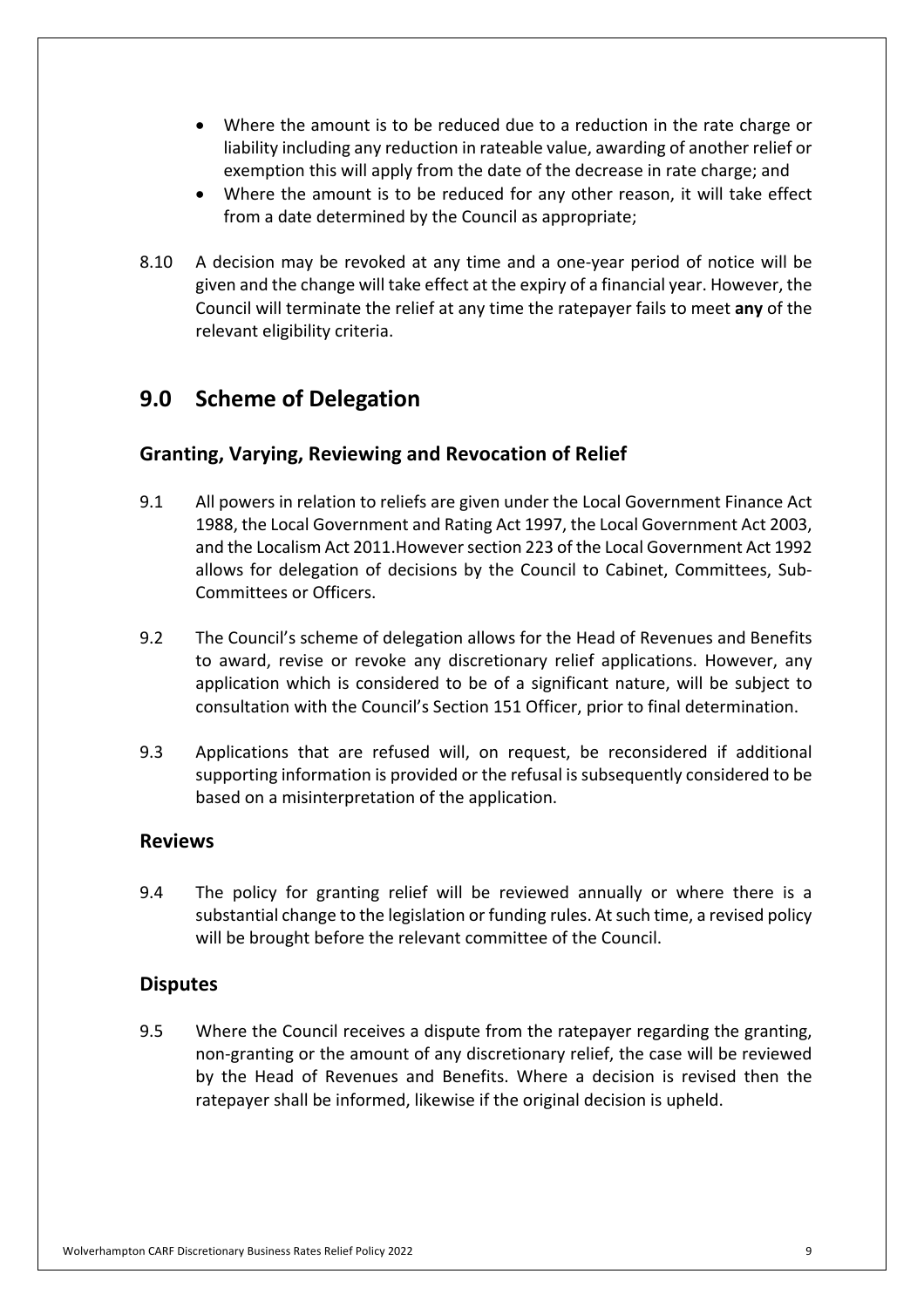- • Where the amount is to be reduced due to a reduction in the rate charge or liability including any reduction in rateable value, awarding of another relief or exemption this will apply from the date of the decrease in rate charge; and
- • Where the amount is to be reduced for any other reason, it will take effect from a date determined by the Council as appropriate;
- 8.10 given and the change will take effect at the expiry of a financial year. However, the Council will terminate the relief at any time the ratepayer fails to meet **any** of the relevant eligibility criteria. A decision may be revoked at any time and a one-year period of notice will be

## **9.0 Scheme of Delegation**

#### **Granting, Varying, Reviewing and Revocation of Relief**

- $9.1$  1988, the Local Government and Rating Act 1997, the Local Government Act 2003, and the Localism Act 2011.However section 223 of the Local Government Act 1992 allows for delegation of decisions by the Council to Cabinet, Committees, Sub- Committees or Officers. All powers in relation to reliefs are given under the Local Government Finance Act
- $9.2$  to award, revise or revoke any discretionary relief applications. However, any application which is considered to be of a significant nature, will be subject to consultation with the Council's Section 151 Officer, prior to final determination. The Council's scheme of delegation allows for the Head of Revenues and Benefits
- 9.3 Applications that are refused will, on request, be reconsidered if additional supporting information is provided or the refusal is subsequently considered to be based on a misinterpretation of the application.

#### **Reviews**

9.4 substantial change to the legislation or funding rules. At such time, a revised policy will be brought before the relevant committee of the Council. The policy for granting relief will be reviewed annually or where there is a

#### **Disputes**

 $9.5$  non-granting or the amount of any discretionary relief, the case will be reviewed by the Head of Revenues and Benefits. Where a decision is revised then the ratepayer shall be informed, likewise if the original decision is upheld. Where the Council receives a dispute from the ratepayer regarding the granting,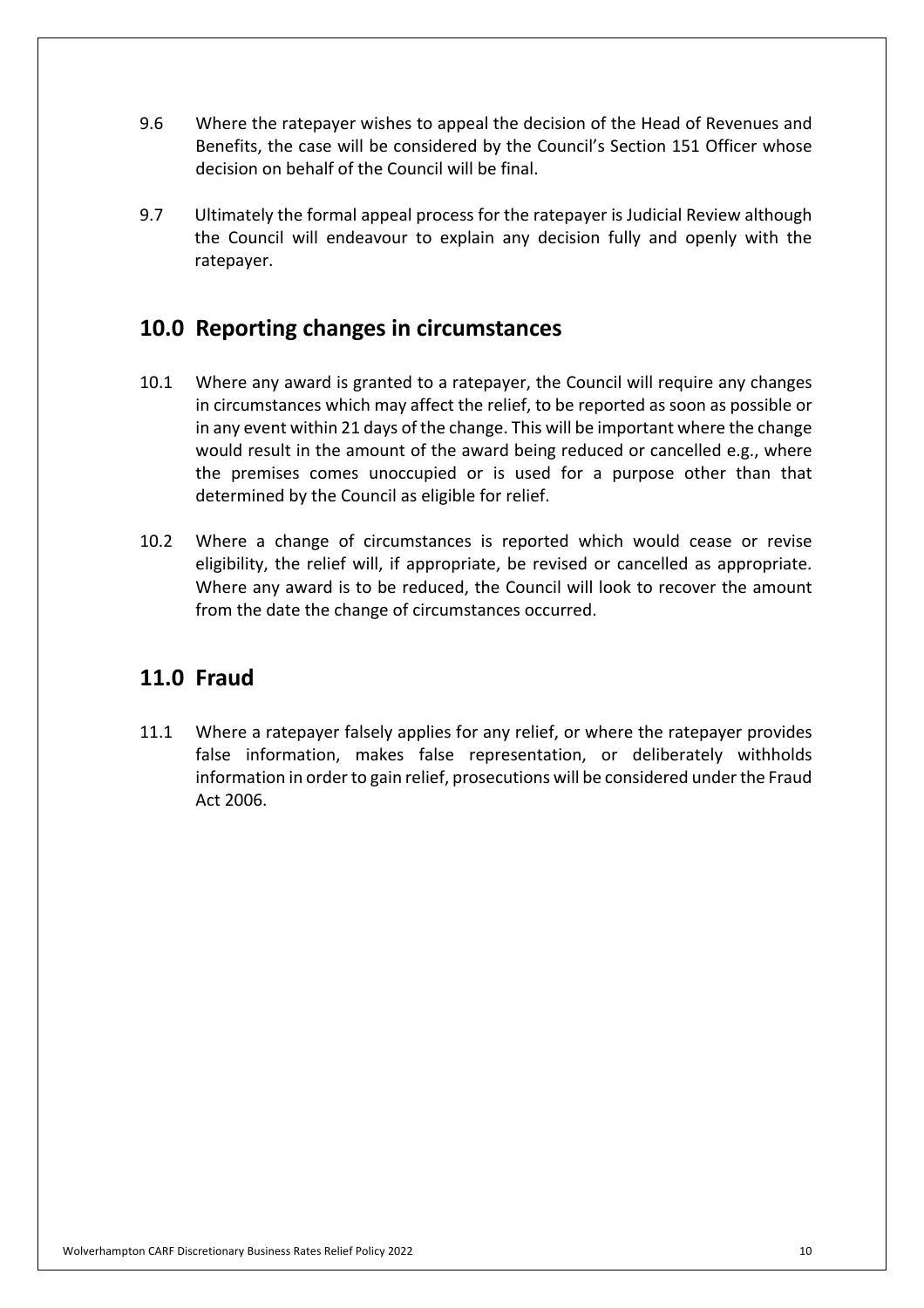- $9.6$  Benefits, the case will be considered by the Council's Section 151 Officer whose decision on behalf of the Council will be final. Where the ratepayer wishes to appeal the decision of the Head of Revenues and
- 9.7 Ultimately the formal appeal process for the ratepayer is Judicial Review although the Council will endeavour to explain any decision fully and openly with the ratepayer.

## **10.0 Reporting changes in circumstances**

- $10.1$  in circumstances which may affect the relief, to be reported as soon as possible or in any event within 21 days of the change. This will be important where the change would result in the amount of the award being reduced or cancelled e.g., where the premises comes unoccupied or is used for a purpose other than that determined by the Council as eligible for relief. Where any award is granted to a ratepayer, the Council will require any changes
- $10.2$  eligibility, the relief will, if appropriate, be revised or cancelled as appropriate. Where any award is to be reduced, the Council will look to recover the amount from the date the change of circumstances occurred. Where a change of circumstances is reported which would cease or revise

## **11.0 Fraud**

 $11.1$  false information, makes false representation, or deliberately withholds information in order to gain relief, prosecutions will be considered under the Fraud Act 2006. Where a ratepayer falsely applies for any relief, or where the ratepayer provides Act 2006. Wolverhampton CARF Discretionary Business Rates Relief Policy 2022 10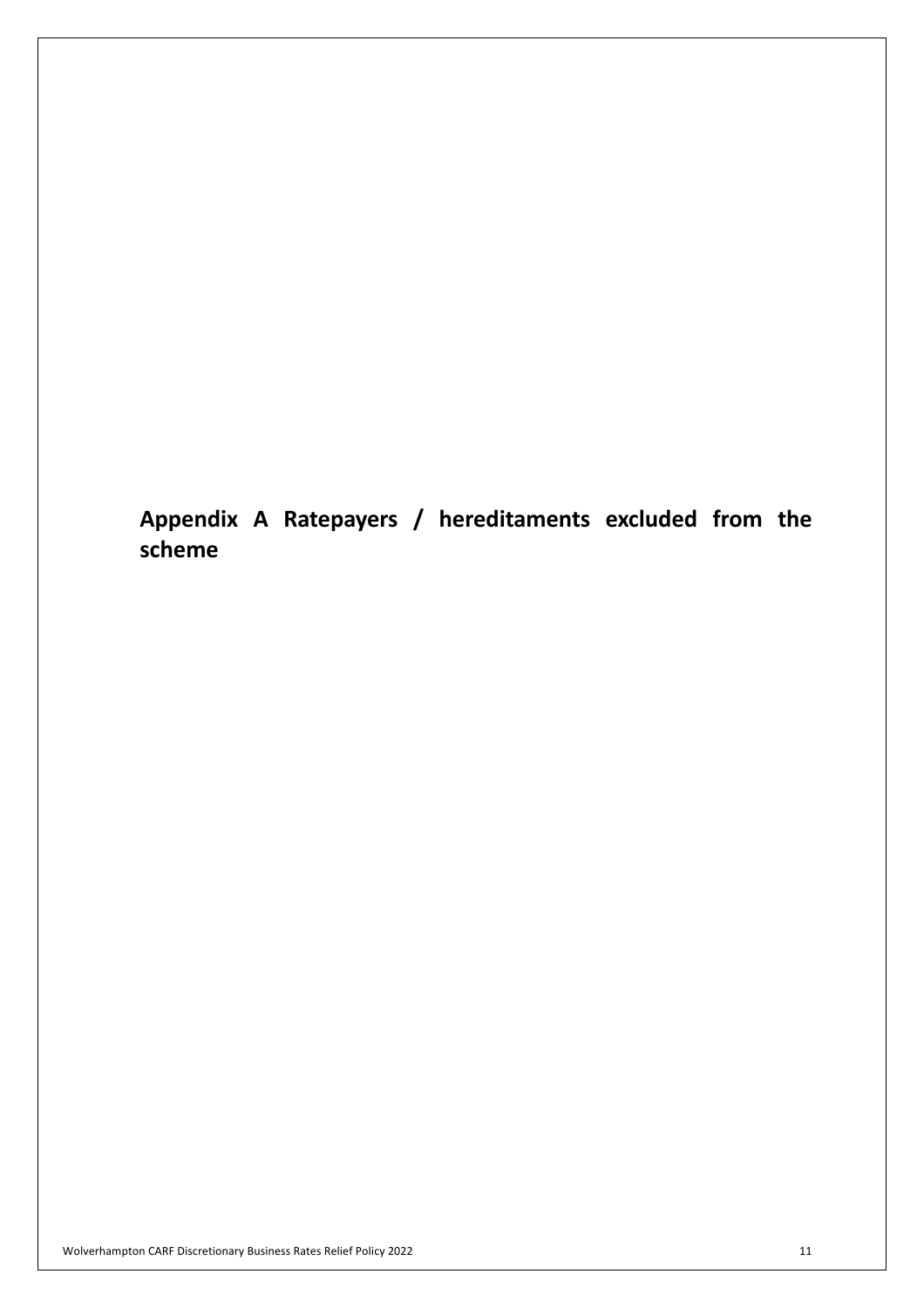**Appendix A Ratepayers / hereditaments excluded from the scheme**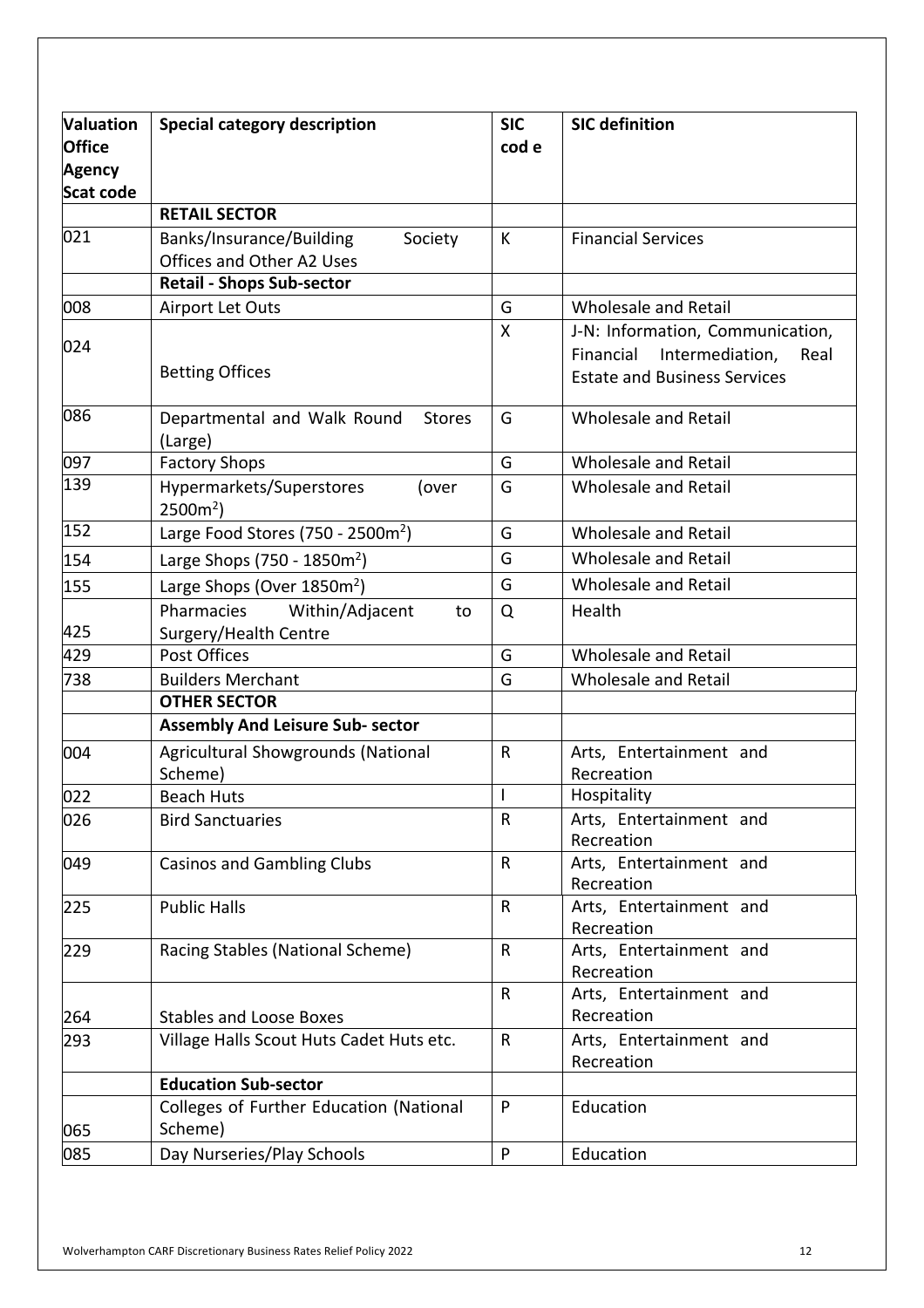| <b>Valuation</b> | <b>Special category description</b>                | <b>SIC</b>   | <b>SIC definition</b>                 |
|------------------|----------------------------------------------------|--------------|---------------------------------------|
| <b>Office</b>    |                                                    | cod e        |                                       |
| <b>Agency</b>    |                                                    |              |                                       |
| <b>Scat code</b> |                                                    |              |                                       |
|                  | <b>RETAIL SECTOR</b>                               |              |                                       |
| 021              | Banks/Insurance/Building<br>Society                | К            | <b>Financial Services</b>             |
|                  | Offices and Other A2 Uses                          |              |                                       |
|                  | <b>Retail - Shops Sub-sector</b>                   |              |                                       |
| 008              | Airport Let Outs                                   | G            | Wholesale and Retail                  |
|                  |                                                    | Χ            | J-N: Information, Communication,      |
| 024              |                                                    |              | Financial<br>Intermediation,<br>Real  |
|                  | <b>Betting Offices</b>                             |              | <b>Estate and Business Services</b>   |
| 086              | Departmental and Walk Round<br><b>Stores</b>       | G            | Wholesale and Retail                  |
|                  | (Large)                                            |              |                                       |
| 097              | <b>Factory Shops</b>                               | G            | Wholesale and Retail                  |
| 139              | Hypermarkets/Superstores<br>(over<br>$2500m2$ )    | G            | Wholesale and Retail                  |
| 152              | Large Food Stores (750 - 2500 $m2$ )               | G            | Wholesale and Retail                  |
| 154              | Large Shops (750 - 1850m <sup>2</sup> )            | G            | Wholesale and Retail                  |
| 155              | Large Shops (Over 1850m <sup>2</sup> )             | G            | Wholesale and Retail                  |
|                  | Within/Adjacent<br>Pharmacies<br>to                | Q            | Health                                |
| 425              | Surgery/Health Centre                              |              |                                       |
| 429              | Post Offices                                       | G            | Wholesale and Retail                  |
| 738              | <b>Builders Merchant</b>                           | G            | Wholesale and Retail                  |
|                  | <b>OTHER SECTOR</b>                                |              |                                       |
|                  | <b>Assembly And Leisure Sub- sector</b>            |              |                                       |
| 004              | Agricultural Showgrounds (National                 | $\mathsf{R}$ | Arts, Entertainment and               |
|                  | Scheme)                                            |              | Recreation                            |
| 022              | <b>Beach Huts</b>                                  | $\mathsf I$  | Hospitality                           |
| 026              | <b>Bird Sanctuaries</b>                            | R            | Arts, Entertainment and<br>Recreation |
| 049              | <b>Casinos and Gambling Clubs</b>                  | ${\sf R}$    | Arts, Entertainment and<br>Recreation |
| 225              | <b>Public Halls</b>                                | $\mathsf{R}$ | Arts, Entertainment and<br>Recreation |
| 229              | Racing Stables (National Scheme)                   | $\mathsf{R}$ | Arts, Entertainment and<br>Recreation |
|                  |                                                    | $\mathsf{R}$ | Arts, Entertainment and               |
| 264              | <b>Stables and Loose Boxes</b>                     |              | Recreation                            |
| 293              | Village Halls Scout Huts Cadet Huts etc.           | $\mathsf{R}$ | Arts, Entertainment and<br>Recreation |
|                  | <b>Education Sub-sector</b>                        |              |                                       |
| 065              | Colleges of Further Education (National<br>Scheme) | P            | Education                             |
| 085              | Day Nurseries/Play Schools                         | P            | Education                             |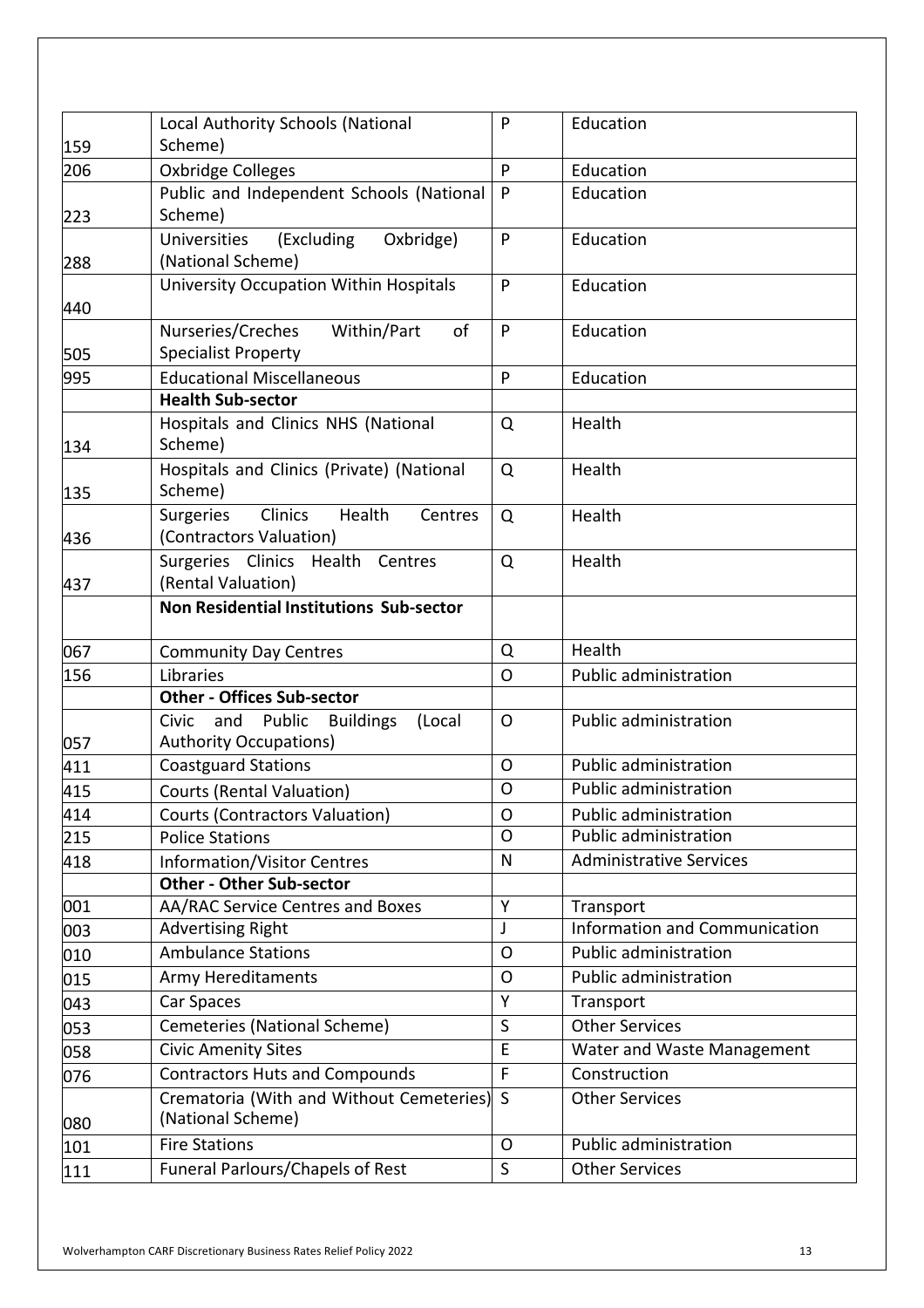| 159 | Local Authority Schools (National<br>Scheme)                                          | P              | Education                            |
|-----|---------------------------------------------------------------------------------------|----------------|--------------------------------------|
| 206 | Oxbridge Colleges                                                                     | P              | Education                            |
| 223 | Public and Independent Schools (National<br>Scheme)                                   | P              | Education                            |
| 288 | <b>Universities</b><br>(Excluding<br>Oxbridge)<br>(National Scheme)                   | P              | Education                            |
| 440 | <b>University Occupation Within Hospitals</b>                                         | P              | Education                            |
| 505 | Nurseries/Creches<br>Within/Part<br>of<br><b>Specialist Property</b>                  | P              | Education                            |
| 995 | <b>Educational Miscellaneous</b>                                                      | P              | Education                            |
|     | <b>Health Sub-sector</b>                                                              |                |                                      |
| 134 | Hospitals and Clinics NHS (National<br>Scheme)                                        | Q              | Health                               |
| 135 | Hospitals and Clinics (Private) (National<br>Scheme)                                  | Q              | Health                               |
| 436 | <b>Clinics</b><br><b>Surgeries</b><br>Health<br>Centres<br>(Contractors Valuation)    | Q              | Health                               |
| 437 | Surgeries Clinics Health Centres<br>(Rental Valuation)                                | Q              | Health                               |
|     | <b>Non Residential Institutions Sub-sector</b>                                        |                |                                      |
| 067 | <b>Community Day Centres</b>                                                          | Q              | Health                               |
| 156 | Libraries                                                                             | O              | Public administration                |
|     | <b>Other - Offices Sub-sector</b>                                                     |                |                                      |
| 057 | Public<br>Civic<br>and<br><b>Buildings</b><br>(Local<br><b>Authority Occupations)</b> | $\mathsf{O}$   | <b>Public administration</b>         |
| 411 | <b>Coastguard Stations</b>                                                            | $\mathsf{O}$   | <b>Public administration</b>         |
| 415 | <b>Courts (Rental Valuation)</b>                                                      | $\mathsf{O}$   | Public administration                |
| 414 | <b>Courts (Contractors Valuation)</b>                                                 | $\mathsf{O}$   | <b>Public administration</b>         |
| 215 | <b>Police Stations</b>                                                                | $\overline{O}$ | <b>Public administration</b>         |
| 418 | <b>Information/Visitor Centres</b>                                                    | ${\sf N}$      | <b>Administrative Services</b>       |
|     | <b>Other - Other Sub-sector</b>                                                       |                |                                      |
| 001 | AA/RAC Service Centres and Boxes                                                      | Υ              | Transport                            |
| 003 | <b>Advertising Right</b>                                                              | J              | <b>Information and Communication</b> |
| 010 | <b>Ambulance Stations</b>                                                             | O              | <b>Public administration</b>         |
| 015 | <b>Army Hereditaments</b>                                                             | $\mathsf O$    | <b>Public administration</b>         |
| 043 | Car Spaces                                                                            | Y              | Transport                            |
| 053 | Cemeteries (National Scheme)                                                          | $\sf S$        | <b>Other Services</b>                |
| 058 | <b>Civic Amenity Sites</b>                                                            | E              | Water and Waste Management           |
| 076 | <b>Contractors Huts and Compounds</b>                                                 | $\mathsf F$    | Construction                         |
| 080 | Crematoria (With and Without Cemeteries)<br>(National Scheme)                         | S              | <b>Other Services</b>                |
| 101 | <b>Fire Stations</b>                                                                  | $\mathsf{O}$   | <b>Public administration</b>         |
| 111 | Funeral Parlours/Chapels of Rest                                                      | $\mathsf{S}$   | <b>Other Services</b>                |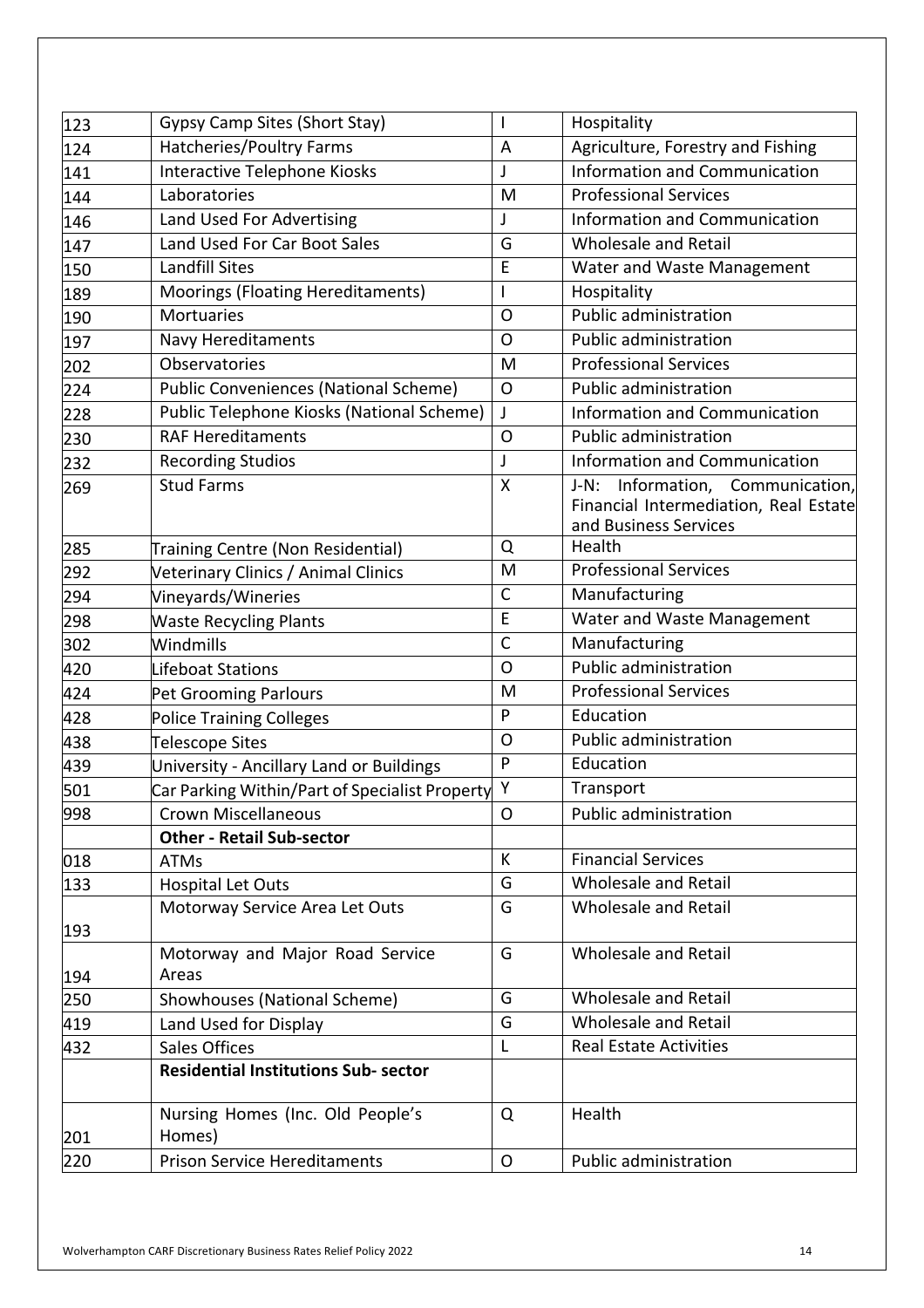| 123 | Gypsy Camp Sites (Short Stay)                  | I.             | Hospitality                                                                                              |
|-----|------------------------------------------------|----------------|----------------------------------------------------------------------------------------------------------|
| 124 | Hatcheries/Poultry Farms                       | A              | Agriculture, Forestry and Fishing                                                                        |
| 141 | Interactive Telephone Kiosks                   | J              | <b>Information and Communication</b>                                                                     |
| 144 | Laboratories                                   | M              | <b>Professional Services</b>                                                                             |
| 146 | Land Used For Advertising                      | J              | <b>Information and Communication</b>                                                                     |
| 147 | Land Used For Car Boot Sales                   | G              | Wholesale and Retail                                                                                     |
| 150 | <b>Landfill Sites</b>                          | E              | Water and Waste Management                                                                               |
| 189 | Moorings (Floating Hereditaments)              | $\mathsf I$    | Hospitality                                                                                              |
| 190 | <b>Mortuaries</b>                              | $\overline{O}$ | <b>Public administration</b>                                                                             |
| 197 | <b>Navy Hereditaments</b>                      | $\mathsf{O}$   | <b>Public administration</b>                                                                             |
| 202 | Observatories                                  | M              | <b>Professional Services</b>                                                                             |
| 224 | <b>Public Conveniences (National Scheme)</b>   | $\circ$        | <b>Public administration</b>                                                                             |
| 228 | Public Telephone Kiosks (National Scheme)      | J              | <b>Information and Communication</b>                                                                     |
| 230 | <b>RAF Hereditaments</b>                       | $\Omega$       | <b>Public administration</b>                                                                             |
| 232 | <b>Recording Studios</b>                       | J              | <b>Information and Communication</b>                                                                     |
| 269 | <b>Stud Farms</b>                              | X              | Information, Communication,<br>$J-N$ :<br>Financial Intermediation, Real Estate<br>and Business Services |
| 285 | Training Centre (Non Residential)              | Q              | Health                                                                                                   |
| 292 | Veterinary Clinics / Animal Clinics            | M              | <b>Professional Services</b>                                                                             |
| 294 | Vineyards/Wineries                             | $\mathsf{C}$   | Manufacturing                                                                                            |
| 298 | <b>Waste Recycling Plants</b>                  | E              | Water and Waste Management                                                                               |
| 302 | Windmills                                      | $\mathsf{C}$   | Manufacturing                                                                                            |
| 420 | Lifeboat Stations                              | $\mathsf{O}$   | <b>Public administration</b>                                                                             |
| 424 | Pet Grooming Parlours                          | M              | <b>Professional Services</b>                                                                             |
| 428 | <b>Police Training Colleges</b>                | P              | Education                                                                                                |
| 438 | Telescope Sites                                | $\mathsf{O}$   | <b>Public administration</b>                                                                             |
| 439 | University - Ancillary Land or Buildings       | P              | Education                                                                                                |
| 501 | Car Parking Within/Part of Specialist Property | Y              | Transport                                                                                                |
| 998 | <b>Crown Miscellaneous</b>                     | O              | <b>Public administration</b>                                                                             |
|     | <b>Other - Retail Sub-sector</b>               |                |                                                                                                          |
| 018 | <b>ATMs</b>                                    | К              | <b>Financial Services</b>                                                                                |
| 133 | <b>Hospital Let Outs</b>                       | G              | <b>Wholesale and Retail</b>                                                                              |
| 193 | Motorway Service Area Let Outs                 | G              | <b>Wholesale and Retail</b>                                                                              |
| 194 | Motorway and Major Road Service<br>Areas       | G              | Wholesale and Retail                                                                                     |
| 250 | Showhouses (National Scheme)                   | G              | Wholesale and Retail                                                                                     |
| 419 | Land Used for Display                          | G              | <b>Wholesale and Retail</b>                                                                              |
| 432 | <b>Sales Offices</b>                           | $\mathsf{L}$   | <b>Real Estate Activities</b>                                                                            |
|     | <b>Residential Institutions Sub- sector</b>    |                |                                                                                                          |
| 201 | Nursing Homes (Inc. Old People's<br>Homes)     | Q              | Health                                                                                                   |
| 220 | <b>Prison Service Hereditaments</b>            | $\mathsf O$    | Public administration                                                                                    |
|     |                                                |                |                                                                                                          |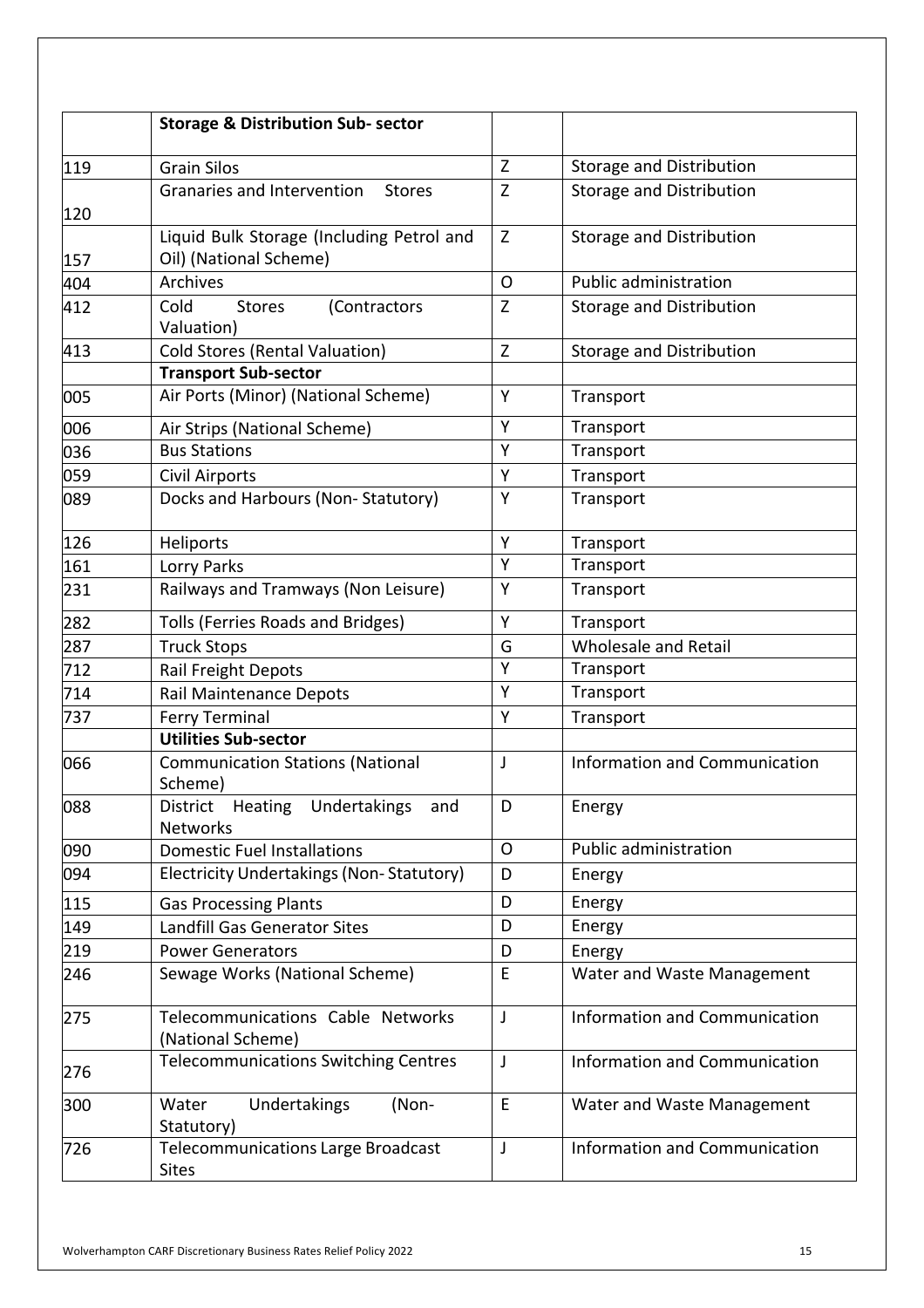|     | <b>Storage &amp; Distribution Sub- sector</b>                       |              |                                 |
|-----|---------------------------------------------------------------------|--------------|---------------------------------|
| 119 | <b>Grain Silos</b>                                                  | Z            | <b>Storage and Distribution</b> |
| 120 | Granaries and Intervention<br><b>Stores</b>                         | Z            | <b>Storage and Distribution</b> |
| 157 | Liquid Bulk Storage (Including Petrol and<br>Oil) (National Scheme) | Z            | Storage and Distribution        |
| 404 | Archives                                                            | O            | <b>Public administration</b>    |
| 412 | Cold<br><b>Stores</b><br>(Contractors<br>Valuation)                 | $\mathsf{Z}$ | <b>Storage and Distribution</b> |
| 413 | <b>Cold Stores (Rental Valuation)</b>                               | Z            | <b>Storage and Distribution</b> |
|     | <b>Transport Sub-sector</b>                                         |              |                                 |
| 005 | Air Ports (Minor) (National Scheme)                                 | Y            | Transport                       |
| 006 | Air Strips (National Scheme)                                        | Y            | Transport                       |
| 036 | <b>Bus Stations</b>                                                 | Y            | Transport                       |
| 059 | Civil Airports                                                      | Y            | Transport                       |
| 089 | Docks and Harbours (Non-Statutory)                                  | Y            | Transport                       |
| 126 | Heliports                                                           | Y            | Transport                       |
| 161 | Lorry Parks                                                         | Y            | Transport                       |
| 231 | Railways and Tramways (Non Leisure)                                 | Y            | Transport                       |
| 282 | Tolls (Ferries Roads and Bridges)                                   | Y            | Transport                       |
| 287 | <b>Truck Stops</b>                                                  | G            | Wholesale and Retail            |
| 712 | Rail Freight Depots                                                 | Y            | Transport                       |
| 714 | Rail Maintenance Depots                                             | Y            | Transport                       |
| 737 | <b>Ferry Terminal</b>                                               | Y            | Transport                       |
|     | <b>Utilities Sub-sector</b>                                         |              |                                 |
| 066 | <b>Communication Stations (National</b><br>Scheme)                  | $\mathsf{I}$ | Information and Communication   |
| 088 | District Heating Undertakings<br>and<br>Networks                    | D            | Energy                          |
| 090 | <b>Domestic Fuel Installations</b>                                  | $\mathsf{O}$ | Public administration           |
| 094 | Electricity Undertakings (Non-Statutory)                            | D            | Energy                          |
| 115 | <b>Gas Processing Plants</b>                                        | D            | Energy                          |
| 149 | Landfill Gas Generator Sites                                        | D            | Energy                          |
| 219 | <b>Power Generators</b>                                             | D            | Energy                          |
| 246 | Sewage Works (National Scheme)                                      | E            | Water and Waste Management      |
| 275 | Telecommunications Cable Networks<br>(National Scheme)              | J            | Information and Communication   |
| 276 | <b>Telecommunications Switching Centres</b>                         | J            | Information and Communication   |
| 300 | Undertakings<br>Water<br>(Non-<br>Statutory)                        | $\mathsf E$  | Water and Waste Management      |
| 726 | <b>Telecommunications Large Broadcast</b><br><b>Sites</b>           | J            | Information and Communication   |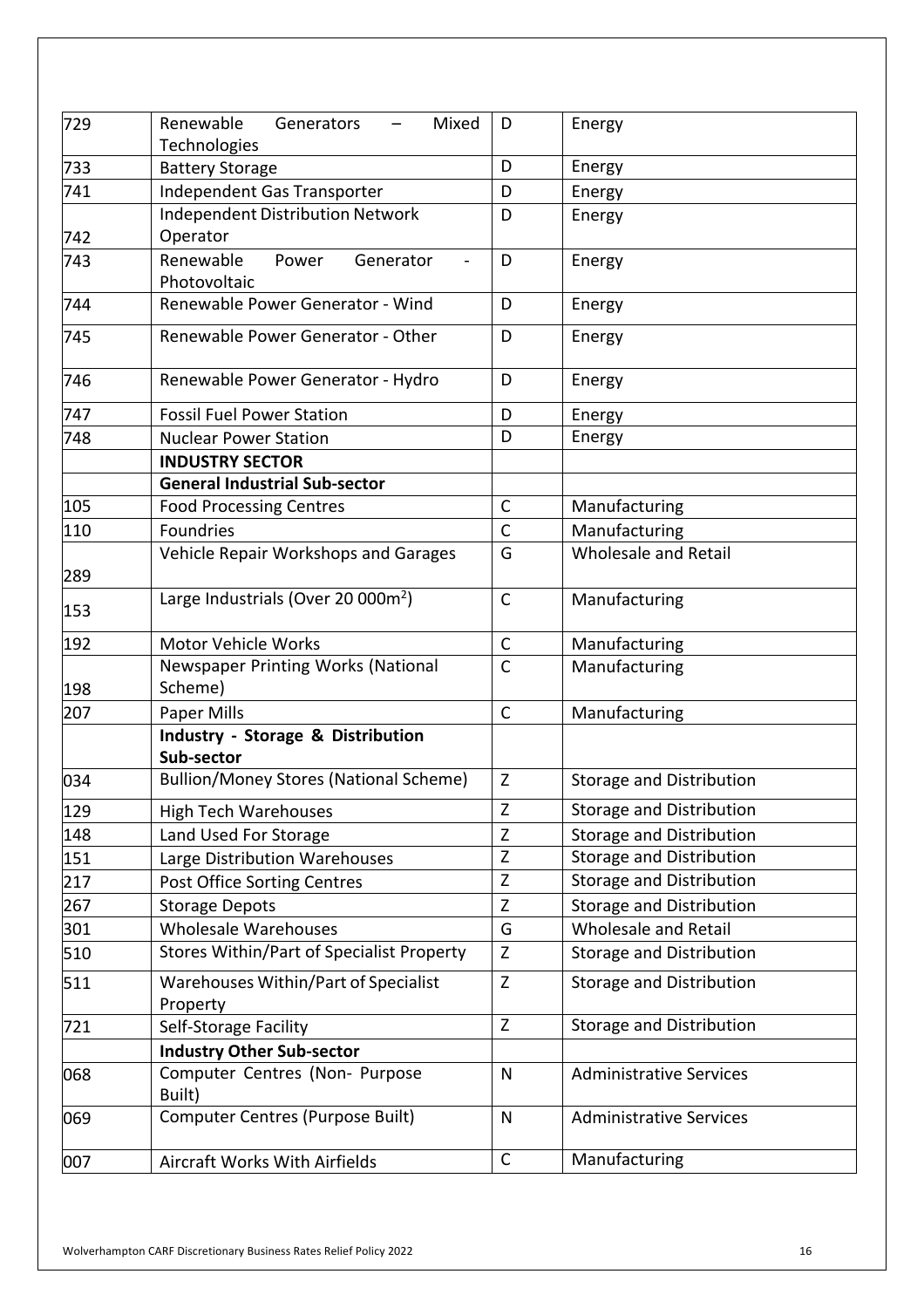| 729 | Renewable<br>Generators<br>Mixed<br>$\qquad \qquad -$<br>Technologies | D            | Energy                          |
|-----|-----------------------------------------------------------------------|--------------|---------------------------------|
| 733 | <b>Battery Storage</b>                                                | D            | Energy                          |
| 741 | Independent Gas Transporter                                           | D            | Energy                          |
| 742 | <b>Independent Distribution Network</b><br>Operator                   | D            | Energy                          |
| 743 | Renewable<br>Power<br>Generator<br>Photovoltaic                       | D            | Energy                          |
| 744 | Renewable Power Generator - Wind                                      | D            | Energy                          |
| 745 | Renewable Power Generator - Other                                     | D            | Energy                          |
| 746 | Renewable Power Generator - Hydro                                     | D            | Energy                          |
| 747 | <b>Fossil Fuel Power Station</b>                                      | D            | Energy                          |
| 748 | <b>Nuclear Power Station</b>                                          | D            | Energy                          |
|     | <b>INDUSTRY SECTOR</b>                                                |              |                                 |
|     | <b>General Industrial Sub-sector</b>                                  |              |                                 |
| 105 | <b>Food Processing Centres</b>                                        | $\mathsf C$  | Manufacturing                   |
| 110 | <b>Foundries</b>                                                      | $\mathsf{C}$ | Manufacturing                   |
| 289 | Vehicle Repair Workshops and Garages                                  | G            | <b>Wholesale and Retail</b>     |
| 153 | Large Industrials (Over 20 000m <sup>2</sup> )                        | $\mathsf{C}$ | Manufacturing                   |
| 192 | <b>Motor Vehicle Works</b>                                            | $\mathsf{C}$ | Manufacturing                   |
| 198 | Newspaper Printing Works (National<br>Scheme)                         | $\mathsf{C}$ | Manufacturing                   |
| 207 | Paper Mills                                                           | $\mathsf C$  | Manufacturing                   |
|     | Industry - Storage & Distribution<br>Sub-sector                       |              |                                 |
| 034 | <b>Bullion/Money Stores (National Scheme)</b>                         | Z            | <b>Storage and Distribution</b> |
| 129 | <b>High Tech Warehouses</b>                                           | Z            | Storage and Distribution        |
| 148 | Land Used For Storage                                                 | Z            | <b>Storage and Distribution</b> |
| 151 | Large Distribution Warehouses                                         | Z            | <b>Storage and Distribution</b> |
| 217 | Post Office Sorting Centres                                           | Z            | Storage and Distribution        |
| 267 | <b>Storage Depots</b>                                                 | $\mathsf Z$  | <b>Storage and Distribution</b> |
| 301 | <b>Wholesale Warehouses</b>                                           | G            | Wholesale and Retail            |
| 510 | Stores Within/Part of Specialist Property                             | Z            | <b>Storage and Distribution</b> |
| 511 | Warehouses Within/Part of Specialist<br>Property                      | Z            | <b>Storage and Distribution</b> |
| 721 | Self-Storage Facility                                                 | Z            | <b>Storage and Distribution</b> |
|     | <b>Industry Other Sub-sector</b>                                      |              |                                 |
| 068 | Computer Centres (Non- Purpose<br>Built)                              | $\mathsf{N}$ | <b>Administrative Services</b>  |
| 069 | <b>Computer Centres (Purpose Built)</b>                               | $\mathsf{N}$ | <b>Administrative Services</b>  |
| 007 | Aircraft Works With Airfields                                         | $\mathsf{C}$ | Manufacturing                   |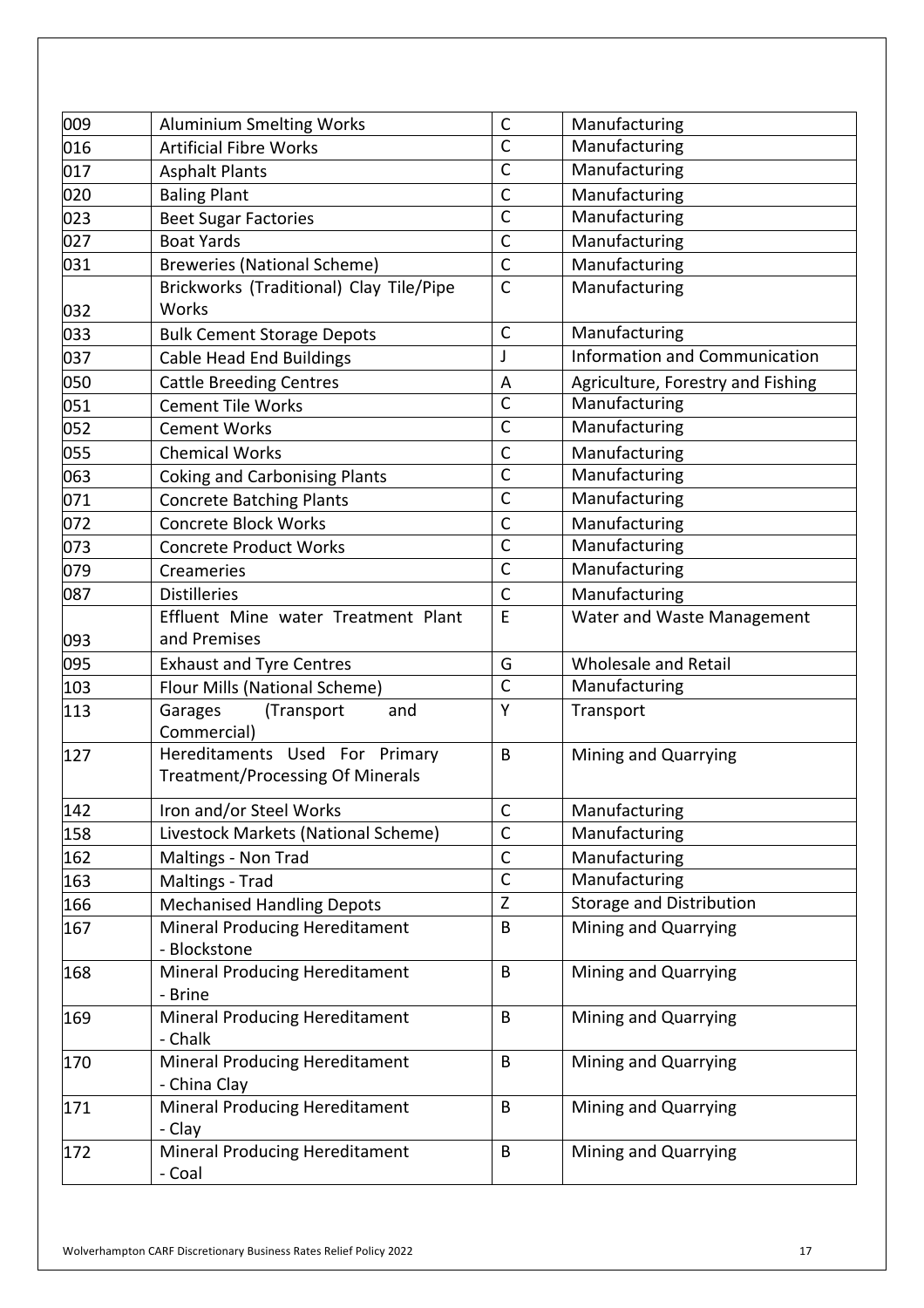| 009 | <b>Aluminium Smelting Works</b>                                           | $\mathsf C$  | Manufacturing                        |
|-----|---------------------------------------------------------------------------|--------------|--------------------------------------|
| 016 | <b>Artificial Fibre Works</b>                                             | $\mathsf{C}$ | Manufacturing                        |
| 017 | <b>Asphalt Plants</b>                                                     | $\mathsf{C}$ | Manufacturing                        |
| 020 | <b>Baling Plant</b>                                                       | $\mathsf C$  | Manufacturing                        |
| 023 | <b>Beet Sugar Factories</b>                                               | $\mathsf{C}$ | Manufacturing                        |
| 027 | <b>Boat Yards</b>                                                         | $\mathsf{C}$ | Manufacturing                        |
| 031 | <b>Breweries (National Scheme)</b>                                        | $\mathsf C$  | Manufacturing                        |
|     | Brickworks (Traditional) Clay Tile/Pipe                                   | $\mathsf{C}$ | Manufacturing                        |
| 032 | Works                                                                     |              |                                      |
| 033 | <b>Bulk Cement Storage Depots</b>                                         | $\mathsf{C}$ | Manufacturing                        |
| 037 | <b>Cable Head End Buildings</b>                                           | J            | <b>Information and Communication</b> |
| 050 | <b>Cattle Breeding Centres</b>                                            | A            | Agriculture, Forestry and Fishing    |
| 051 | <b>Cement Tile Works</b>                                                  | $\mathsf{C}$ | Manufacturing                        |
| 052 | <b>Cement Works</b>                                                       | $\mathsf{C}$ | Manufacturing                        |
| 055 | <b>Chemical Works</b>                                                     | $\mathsf C$  | Manufacturing                        |
| 063 | <b>Coking and Carbonising Plants</b>                                      | $\mathsf{C}$ | Manufacturing                        |
| 071 | <b>Concrete Batching Plants</b>                                           | $\mathsf C$  | Manufacturing                        |
| 072 | <b>Concrete Block Works</b>                                               | $\mathsf{C}$ | Manufacturing                        |
| 073 | <b>Concrete Product Works</b>                                             | $\mathsf{C}$ | Manufacturing                        |
| 079 | Creameries                                                                | $\mathsf{C}$ | Manufacturing                        |
| 087 | <b>Distilleries</b>                                                       | $\mathsf{C}$ | Manufacturing                        |
|     | Effluent Mine water Treatment Plant                                       | E            | Water and Waste Management           |
| 093 | and Premises                                                              |              |                                      |
| 095 | <b>Exhaust and Tyre Centres</b>                                           | G            | Wholesale and Retail                 |
| 103 | Flour Mills (National Scheme)                                             | $\mathsf C$  | Manufacturing                        |
| 113 | Garages<br>(Transport<br>and<br>Commercial)                               | Y            | Transport                            |
| 127 | Hereditaments Used For Primary<br><b>Treatment/Processing Of Minerals</b> | B            | Mining and Quarrying                 |
| 142 | Iron and/or Steel Works                                                   | $\mathsf{C}$ | Manufacturing                        |
| 158 | Livestock Markets (National Scheme)                                       | $\mathsf C$  | Manufacturing                        |
| 162 | Maltings - Non Trad                                                       | $\mathsf C$  | Manufacturing                        |
| 163 | Maltings - Trad                                                           | $\mathsf C$  | Manufacturing                        |
| 166 | <b>Mechanised Handling Depots</b>                                         | Z            | <b>Storage and Distribution</b>      |
| 167 | <b>Mineral Producing Hereditament</b><br>- Blockstone                     | B            | Mining and Quarrying                 |
| 168 | <b>Mineral Producing Hereditament</b>                                     | B            | Mining and Quarrying                 |
|     | - Brine                                                                   |              |                                      |
| 169 | Mineral Producing Hereditament                                            | B            | Mining and Quarrying                 |
|     | - Chalk                                                                   |              |                                      |
| 170 | <b>Mineral Producing Hereditament</b>                                     | B            | Mining and Quarrying                 |
|     | - China Clay                                                              |              |                                      |
| 171 | Mineral Producing Hereditament                                            | B            | Mining and Quarrying                 |
|     | - Clay                                                                    |              |                                      |
| 172 | <b>Mineral Producing Hereditament</b><br>- Coal                           | B            | Mining and Quarrying                 |
|     |                                                                           |              |                                      |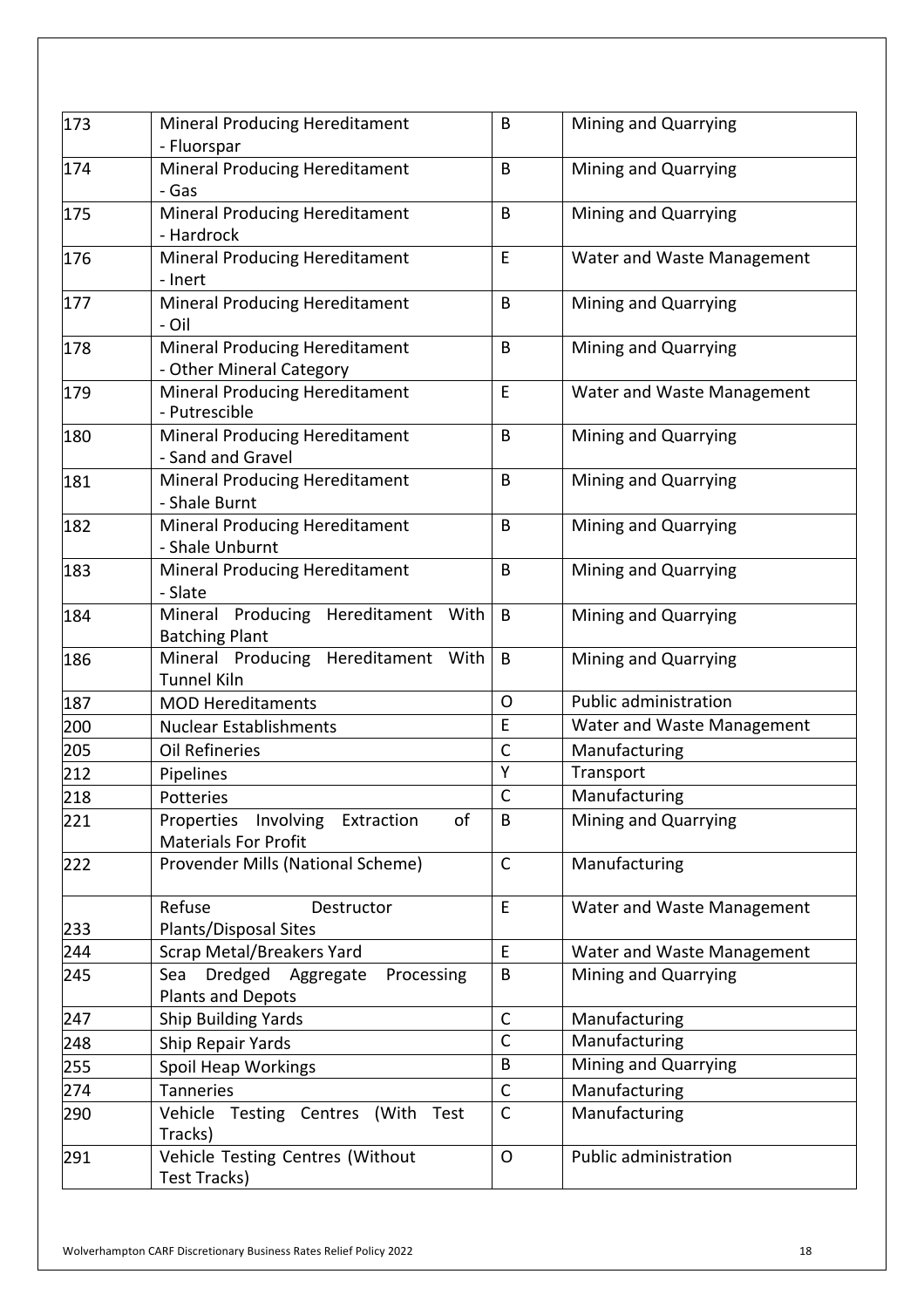| 173 | Mineral Producing Hereditament<br>- Fluorspar                        | B            | Mining and Quarrying       |
|-----|----------------------------------------------------------------------|--------------|----------------------------|
| 174 | <b>Mineral Producing Hereditament</b><br>- Gas                       | B            | Mining and Quarrying       |
| 175 | Mineral Producing Hereditament<br>- Hardrock                         | B            | Mining and Quarrying       |
| 176 | Mineral Producing Hereditament<br>- Inert                            | E            | Water and Waste Management |
| 177 | Mineral Producing Hereditament<br>- Oil                              | B            | Mining and Quarrying       |
| 178 | Mineral Producing Hereditament<br>- Other Mineral Category           | B            | Mining and Quarrying       |
| 179 | Mineral Producing Hereditament<br>- Putrescible                      | E            | Water and Waste Management |
| 180 | Mineral Producing Hereditament<br>- Sand and Gravel                  | B            | Mining and Quarrying       |
| 181 | Mineral Producing Hereditament<br>- Shale Burnt                      | B            | Mining and Quarrying       |
| 182 | Mineral Producing Hereditament<br>- Shale Unburnt                    | B            | Mining and Quarrying       |
| 183 | Mineral Producing Hereditament<br>- Slate                            | B            | Mining and Quarrying       |
| 184 | Mineral Producing Hereditament With<br><b>Batching Plant</b>         | B            | Mining and Quarrying       |
| 186 | Mineral Producing Hereditament With<br><b>Tunnel Kiln</b>            | B            | Mining and Quarrying       |
| 187 | <b>MOD Hereditaments</b>                                             | $\mathsf{O}$ | Public administration      |
| 200 | <b>Nuclear Establishments</b>                                        | E            | Water and Waste Management |
| 205 | <b>Oil Refineries</b>                                                | $\mathsf{C}$ | Manufacturing              |
| 212 | Pipelines                                                            | Y            | Transport                  |
| 218 | Potteries                                                            | $\mathsf{C}$ | Manufacturing              |
| 221 | of<br>Properties Involving Extraction<br><b>Materials For Profit</b> | B            | Mining and Quarrying       |
| 222 | Provender Mills (National Scheme)                                    | $\mathsf{C}$ | Manufacturing              |
|     | Refuse<br>Destructor                                                 | E            | Water and Waste Management |
| 233 | Plants/Disposal Sites                                                |              |                            |
| 244 | <b>Scrap Metal/Breakers Yard</b>                                     | E            | Water and Waste Management |
| 245 | Dredged Aggregate<br>Sea<br>Processing<br><b>Plants and Depots</b>   | B            | Mining and Quarrying       |
| 247 | <b>Ship Building Yards</b>                                           | $\mathsf C$  | Manufacturing              |
| 248 | Ship Repair Yards                                                    | $\mathsf{C}$ | Manufacturing              |
| 255 | Spoil Heap Workings                                                  | B            | Mining and Quarrying       |
| 274 | <b>Tanneries</b>                                                     | $\mathsf{C}$ | Manufacturing              |
| 290 | Vehicle Testing Centres (With<br>Test<br>Tracks)                     | $\mathsf{C}$ | Manufacturing              |
| 291 | Vehicle Testing Centres (Without<br>Test Tracks)                     | $\circ$      | Public administration      |